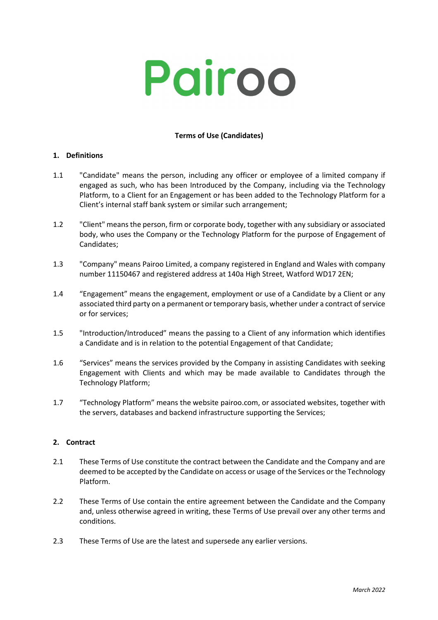# Pairoo

## **Terms of Use (Candidates)**

#### **1. Definitions**

- 1.1 "Candidate" means the person, including any officer or employee of a limited company if engaged as such, who has been Introduced by the Company, including via the Technology Platform, to a Client for an Engagement or has been added to the Technology Platform for a Client's internal staff bank system or similar such arrangement;
- 1.2 "Client" means the person, firm or corporate body, together with any subsidiary or associated body, who uses the Company or the Technology Platform for the purpose of Engagement of Candidates;
- 1.3 "Company" means Pairoo Limited, a company registered in England and Wales with company number 11150467 and registered address at 140a High Street, Watford WD17 2EN;
- 1.4 "Engagement" means the engagement, employment or use of a Candidate by a Client or any associated third party on a permanent or temporary basis, whether under a contract of service or for services;
- 1.5 "Introduction/Introduced" means the passing to a Client of any information which identifies a Candidate and is in relation to the potential Engagement of that Candidate;
- 1.6 "Services" means the services provided by the Company in assisting Candidates with seeking Engagement with Clients and which may be made available to Candidates through the Technology Platform;
- 1.7 "Technology Platform" means the website pairoo.com, or associated websites, together with the servers, databases and backend infrastructure supporting the Services;

#### **2. Contract**

- 2.1 These Terms of Use constitute the contract between the Candidate and the Company and are deemed to be accepted by the Candidate on access or usage of the Services or the Technology Platform.
- 2.2 These Terms of Use contain the entire agreement between the Candidate and the Company and, unless otherwise agreed in writing, these Terms of Use prevail over any other terms and conditions.
- 2.3 These Terms of Use are the latest and supersede any earlier versions.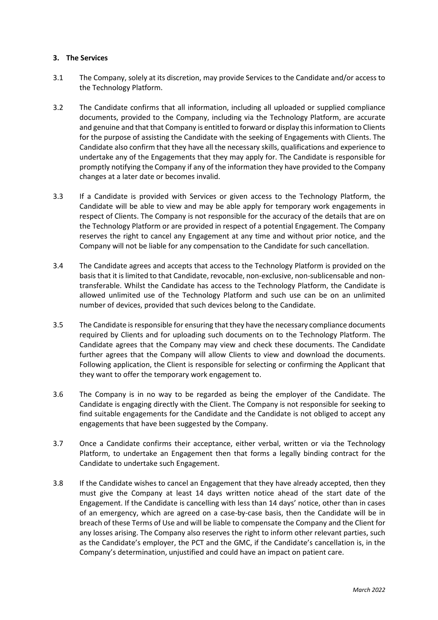#### **3. The Services**

- 3.1 The Company, solely at its discretion, may provide Services to the Candidate and/or access to the Technology Platform.
- 3.2 The Candidate confirms that all information, including all uploaded or supplied compliance documents, provided to the Company, including via the Technology Platform, are accurate and genuine and that that Company is entitled to forward or display this information to Clients for the purpose of assisting the Candidate with the seeking of Engagements with Clients. The Candidate also confirm that they have all the necessary skills, qualifications and experience to undertake any of the Engagements that they may apply for. The Candidate is responsible for promptly notifying the Company if any of the information they have provided to the Company changes at a later date or becomes invalid.
- 3.3 If a Candidate is provided with Services or given access to the Technology Platform, the Candidate will be able to view and may be able apply for temporary work engagements in respect of Clients. The Company is not responsible for the accuracy of the details that are on the Technology Platform or are provided in respect of a potential Engagement. The Company reserves the right to cancel any Engagement at any time and without prior notice, and the Company will not be liable for any compensation to the Candidate for such cancellation.
- 3.4 The Candidate agrees and accepts that access to the Technology Platform is provided on the basis that it is limited to that Candidate, revocable, non-exclusive, non-sublicensable and nontransferable. Whilst the Candidate has access to the Technology Platform, the Candidate is allowed unlimited use of the Technology Platform and such use can be on an unlimited number of devices, provided that such devices belong to the Candidate.
- 3.5 The Candidate is responsible for ensuring that they have the necessary compliance documents required by Clients and for uploading such documents on to the Technology Platform. The Candidate agrees that the Company may view and check these documents. The Candidate further agrees that the Company will allow Clients to view and download the documents. Following application, the Client is responsible for selecting or confirming the Applicant that they want to offer the temporary work engagement to.
- 3.6 The Company is in no way to be regarded as being the employer of the Candidate. The Candidate is engaging directly with the Client. The Company is not responsible for seeking to find suitable engagements for the Candidate and the Candidate is not obliged to accept any engagements that have been suggested by the Company.
- 3.7 Once a Candidate confirms their acceptance, either verbal, written or via the Technology Platform, to undertake an Engagement then that forms a legally binding contract for the Candidate to undertake such Engagement.
- 3.8 If the Candidate wishes to cancel an Engagement that they have already accepted, then they must give the Company at least 14 days written notice ahead of the start date of the Engagement. If the Candidate is cancelling with less than 14 days' notice, other than in cases of an emergency, which are agreed on a case-by-case basis, then the Candidate will be in breach of these Terms of Use and will be liable to compensate the Company and the Client for any losses arising. The Company also reserves the right to inform other relevant parties, such as the Candidate's employer, the PCT and the GMC, if the Candidate's cancellation is, in the Company's determination, unjustified and could have an impact on patient care.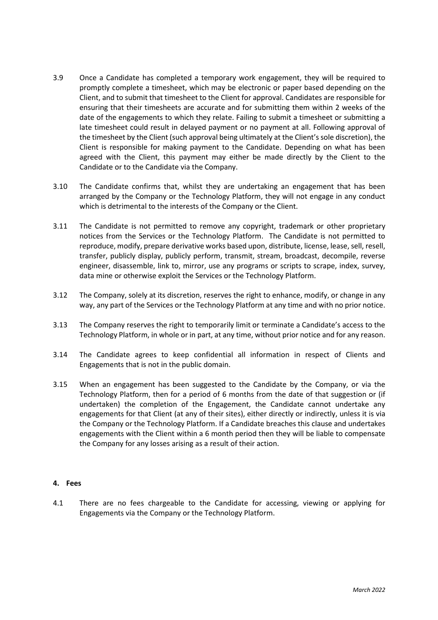- 3.9 Once a Candidate has completed a temporary work engagement, they will be required to promptly complete a timesheet, which may be electronic or paper based depending on the Client, and to submit that timesheet to the Client for approval. Candidates are responsible for ensuring that their timesheets are accurate and for submitting them within 2 weeks of the date of the engagements to which they relate. Failing to submit a timesheet or submitting a late timesheet could result in delayed payment or no payment at all. Following approval of the timesheet by the Client (such approval being ultimately at the Client's sole discretion), the Client is responsible for making payment to the Candidate. Depending on what has been agreed with the Client, this payment may either be made directly by the Client to the Candidate or to the Candidate via the Company.
- 3.10 The Candidate confirms that, whilst they are undertaking an engagement that has been arranged by the Company or the Technology Platform, they will not engage in any conduct which is detrimental to the interests of the Company or the Client.
- 3.11 The Candidate is not permitted to remove any copyright, trademark or other proprietary notices from the Services or the Technology Platform. The Candidate is not permitted to reproduce, modify, prepare derivative works based upon, distribute, license, lease, sell, resell, transfer, publicly display, publicly perform, transmit, stream, broadcast, decompile, reverse engineer, disassemble, link to, mirror, use any programs or scripts to scrape, index, survey, data mine or otherwise exploit the Services or the Technology Platform.
- 3.12 The Company, solely at its discretion, reserves the right to enhance, modify, or change in any way, any part of the Services or the Technology Platform at any time and with no prior notice.
- 3.13 The Company reserves the right to temporarily limit or terminate a Candidate's access to the Technology Platform, in whole or in part, at any time, without prior notice and for any reason.
- 3.14 The Candidate agrees to keep confidential all information in respect of Clients and Engagements that is not in the public domain.
- 3.15 When an engagement has been suggested to the Candidate by the Company, or via the Technology Platform, then for a period of 6 months from the date of that suggestion or (if undertaken) the completion of the Engagement, the Candidate cannot undertake any engagements for that Client (at any of their sites), either directly or indirectly, unless it is via the Company or the Technology Platform. If a Candidate breaches this clause and undertakes engagements with the Client within a 6 month period then they will be liable to compensate the Company for any losses arising as a result of their action.

#### **4. Fees**

4.1 There are no fees chargeable to the Candidate for accessing, viewing or applying for Engagements via the Company or the Technology Platform.